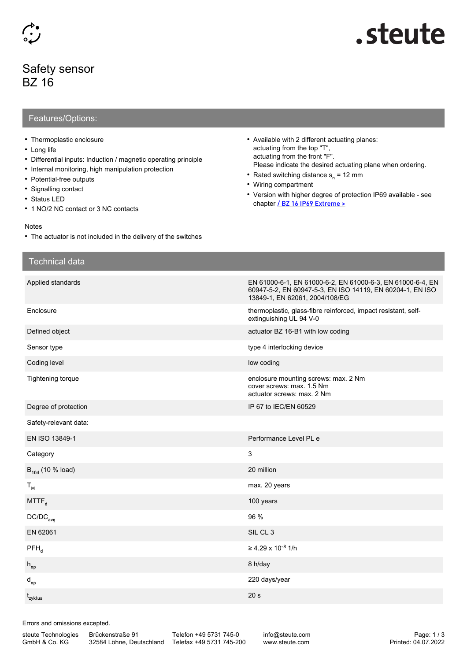## Safety sensor BZ 16

# steute.

### Features/Options:

- Thermoplastic enclosure
- Long life
- Differential inputs: Induction / magnetic operating principle
- Internal monitoring, high manipulation protection
- Potential-free outputs
- Signalling contact
- Status LED
- 1 NO/2 NC contact or 3 NC contacts

#### Notes

• The actuator is not included in the delivery of the switches

- Available with 2 different actuating planes: actuating from the top "T", actuating from the front "F". Please indicate the desired actuating plane when ordering.
- Rated switching distance s<sub>n</sub> = 12 mm
- Wiring compartment
- Version with higher degree of protection IP69 available see chapter [/ BZ 16 IP69 Extreme >](https://www.steute.com/index.php?id=6877&L=7)

| <b>Technical data</b> |                                                                                                                                                           |
|-----------------------|-----------------------------------------------------------------------------------------------------------------------------------------------------------|
| Applied standards     | EN 61000-6-1, EN 61000-6-2, EN 61000-6-3, EN 61000-6-4, EN<br>60947-5-2, EN 60947-5-3, EN ISO 14119, EN 60204-1, EN ISO<br>13849-1, EN 62061, 2004/108/EG |
| Enclosure             | thermoplastic, glass-fibre reinforced, impact resistant, self-<br>extinguishing UL 94 V-0                                                                 |
| Defined object        | actuator BZ 16-B1 with low coding                                                                                                                         |
| Sensor type           | type 4 interlocking device                                                                                                                                |
| Coding level          | low coding                                                                                                                                                |
| Tightening torque     | enclosure mounting screws: max. 2 Nm<br>cover screws: max. 1.5 Nm<br>actuator screws: max. 2 Nm                                                           |
| Degree of protection  | IP 67 to IEC/EN 60529                                                                                                                                     |
| Safety-relevant data: |                                                                                                                                                           |
| EN ISO 13849-1        | Performance Level PL e                                                                                                                                    |
| Category              | 3                                                                                                                                                         |
| $B_{10d}$ (10 % load) | 20 million                                                                                                                                                |
| $T_{M}$               | max. 20 years                                                                                                                                             |
| MTTF <sub>d</sub>     | 100 years                                                                                                                                                 |
| $DC/DC_{avg}$         | 96 %                                                                                                                                                      |
| EN 62061              | SIL CL 3                                                                                                                                                  |
| $PFH_{d}$             | ≥ 4.29 x 10 <sup>-8</sup> 1/h                                                                                                                             |
| $h_{op}$              | 8 h/day                                                                                                                                                   |
| $d_{op}$              | 220 days/year                                                                                                                                             |
| t <sub>zyklus</sub>   | 20 <sub>s</sub>                                                                                                                                           |

Errors and omissions excepted.

steute Technologies GmbH & Co. KG

Brückenstraße 91

32584 Löhne, Deutschland Telefax +49 5731 745-200 Telefon +49 5731 745-0

info@steute.com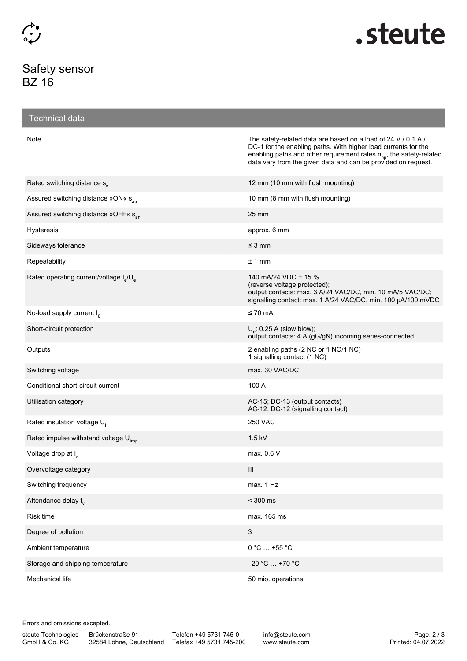## Safety sensor BZ 16



| <b>Technical data</b>                                          |                                                                                                                                                                                                                                                                                     |
|----------------------------------------------------------------|-------------------------------------------------------------------------------------------------------------------------------------------------------------------------------------------------------------------------------------------------------------------------------------|
| Note                                                           | The safety-related data are based on a load of 24 V / 0.1 A /<br>DC-1 for the enabling paths. With higher load currents for the<br>enabling paths and other requirement rates n <sub>op</sub> , the safety-related<br>data vary from the given data and can be provided on request. |
| Rated switching distance s <sub>n</sub>                        | 12 mm (10 mm with flush mounting)                                                                                                                                                                                                                                                   |
| Assured switching distance »ON« s <sub>ao</sub>                | 10 mm (8 mm with flush mounting)                                                                                                                                                                                                                                                    |
| Assured switching distance »OFF« s <sub>ar</sub>               | 25 mm                                                                                                                                                                                                                                                                               |
| <b>Hysteresis</b>                                              | approx. 6 mm                                                                                                                                                                                                                                                                        |
| Sideways tolerance                                             | $\leq$ 3 mm                                                                                                                                                                                                                                                                         |
| Repeatability                                                  | ± 1 mm                                                                                                                                                                                                                                                                              |
| Rated operating current/voltage I <sub>s</sub> /U <sub>s</sub> | 140 mA/24 VDC ± 15 %<br>(reverse voltage protected);<br>output contacts: max. 3 A/24 VAC/DC, min. 10 mA/5 VAC/DC;<br>signalling contact: max. 1 A/24 VAC/DC, min. 100 µA/100 mVDC                                                                                                   |
| No-load supply current $I_n$                                   | $\leq 70$ mA                                                                                                                                                                                                                                                                        |
| Short-circuit protection                                       | $Ue$ : 0.25 A (slow blow);<br>output contacts: 4 A (gG/gN) incoming series-connected                                                                                                                                                                                                |
| Outputs                                                        | 2 enabling paths (2 NC or 1 NO/1 NC)<br>1 signalling contact (1 NC)                                                                                                                                                                                                                 |
| Switching voltage                                              | max. 30 VAC/DC                                                                                                                                                                                                                                                                      |
| Conditional short-circuit current                              | 100 A                                                                                                                                                                                                                                                                               |
| Utilisation category                                           | AC-15; DC-13 (output contacts)<br>AC-12; DC-12 (signalling contact)                                                                                                                                                                                                                 |
| Rated insulation voltage U <sub>i</sub>                        | <b>250 VAC</b>                                                                                                                                                                                                                                                                      |
| Rated impulse withstand voltage $U_{\text{imn}}$               | $1.5$ kV                                                                                                                                                                                                                                                                            |
| Voltage drop at I <sub>s</sub>                                 | max. $0.6V$                                                                                                                                                                                                                                                                         |
| Overvoltage category                                           | Ш                                                                                                                                                                                                                                                                                   |
| Switching frequency                                            | max. 1 Hz                                                                                                                                                                                                                                                                           |
| Attendance delay t <sub>v</sub>                                | $<$ 300 $\,$ ms                                                                                                                                                                                                                                                                     |
| Risk time                                                      | max. 165 ms                                                                                                                                                                                                                                                                         |
| Degree of pollution                                            | 3                                                                                                                                                                                                                                                                                   |
| Ambient temperature                                            | $0 °C  +55 °C$                                                                                                                                                                                                                                                                      |
| Storage and shipping temperature                               | $-20$ °C $\ldots$ +70 °C                                                                                                                                                                                                                                                            |
| Mechanical life                                                | 50 mio. operations                                                                                                                                                                                                                                                                  |

Errors and omissions excepted.

Brückenstraße 91

32584 Löhne, Deutschland Telefax +49 5731 745-200 Telefon +49 5731 745-0